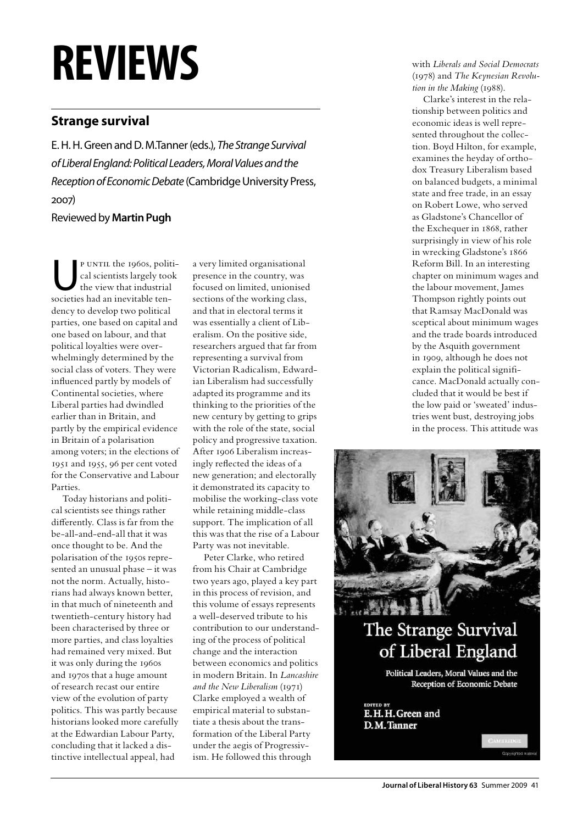## **reviews**

## **Strange survival**

E. H. H. Green and D. M.Tanner (eds.), *The Strange Survival of Liberal England: Political Leaders, Moral Values and the Reception of Economic Debate* (Cambridge University Press, 2007)

Reviewed by **Martin Pugh**

P UNTIL the 1960s, politi-<br>cal scientists largely took<br>the view that industrial cal scientists largely took the view that industrial societies had an inevitable tendency to develop two political parties, one based on capital and one based on labour, and that political loyalties were overwhelmingly determined by the social class of voters. They were influenced partly by models of Continental societies, where Liberal parties had dwindled earlier than in Britain, and partly by the empirical evidence in Britain of a polarisation among voters; in the elections of 1951 and 1955, 96 per cent voted for the Conservative and Labour Parties.

Today historians and political scientists see things rather differently. Class is far from the be-all-and-end-all that it was once thought to be. And the polarisation of the 1950s represented an unusual phase – it was not the norm. Actually, historians had always known better, in that much of nineteenth and twentieth-century history had been characterised by three or more parties, and class loyalties had remained very mixed. But it was only during the 1960s and 1970s that a huge amount of research recast our entire view of the evolution of party politics. This was partly because historians looked more carefully at the Edwardian Labour Party, concluding that it lacked a distinctive intellectual appeal, had

a very limited organisational presence in the country, was focused on limited, unionised sections of the working class, and that in electoral terms it was essentially a client of Liberalism. On the positive side, researchers argued that far from representing a survival from Victorian Radicalism, Edwardian Liberalism had successfully adapted its programme and its thinking to the priorities of the new century by getting to grips with the role of the state, social policy and progressive taxation. After 1906 Liberalism increasingly reflected the ideas of a new generation; and electorally it demonstrated its capacity to mobilise the working-class vote while retaining middle-class support. The implication of all this was that the rise of a Labour Party was not inevitable.

Peter Clarke, who retired from his Chair at Cambridge two years ago, played a key part in this process of revision, and this volume of essays represents a well-deserved tribute to his contribution to our understanding of the process of political change and the interaction between economics and politics in modern Britain. In *Lancashire and the New Liberalism* (1971) Clarke employed a wealth of empirical material to substantiate a thesis about the transformation of the Liberal Party under the aegis of Progressivism. He followed this through

with *Liberals and Social Democrats* (1978) and *The Keynesian Revolution in the Making* (1988).

Clarke's interest in the relationship between politics and economic ideas is well represented throughout the collection. Boyd Hilton, for example, examines the heyday of orthodox Treasury Liberalism based on balanced budgets, a minimal state and free trade, in an essay on Robert Lowe, who served as Gladstone's Chancellor of the Exchequer in 1868, rather surprisingly in view of his role in wrecking Gladstone's 1866 Reform Bill. In an interesting chapter on minimum wages and the labour movement, James Thompson rightly points out that Ramsay MacDonald was sceptical about minimum wages and the trade boards introduced by the Asquith government in 1909, although he does not explain the political significance. MacDonald actually concluded that it would be best if the low paid or 'sweated' industries went bust, destroying jobs in the process. This attitude was